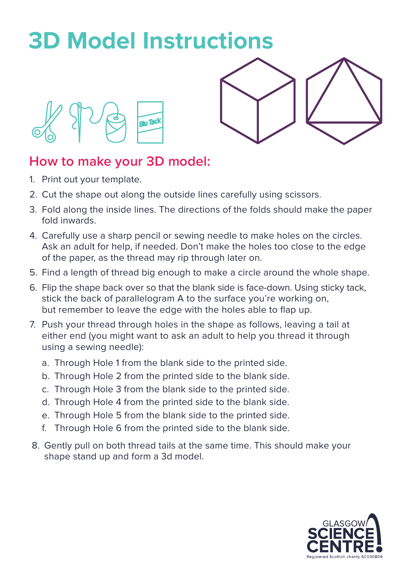## **3D Model Instructions**





## **How to make your 3D model:**

- 1. Print out your template.
- 2. Cut the shape out along the outside lines carefully using scissors.
- 3. Fold along the inside lines. The directions of the folds should make the paper fold inwards.
- 4. Carefully use a sharp pencil or sewing needle to make holes on the circles. Ask an adult for help, if needed. Don't make the holes too close to the edge of the paper, as the thread may rip through later on.
- 5. Find a length of thread big enough to make a circle around the whole shape.
- 6. Flip the shape back over so that the blank side is face-down. Using sticky tack, stick the back of parallelogram A to the surface you're working on, but remember to leave the edge with the holes able to flap up.
- 7. Push your thread through holes in the shape as follows, leaving a tail at either end (you might want to ask an adult to help you thread it through using a sewing needle):
	- a. Through Hole 1 from the blank side to the printed side.
	- b. Through Hole 2 from the printed side to the blank side.
	- c. Through Hole 3 from the blank side to the printed side.
	- d. Through Hole 4 from the printed side to the blank side.
	- e. Through Hole 5 from the blank side to the printed side.
	- f. Through Hole 6 from the printed side to the blank side.
- 8. Gently pull on both thread tails at the same time. This should make your shape stand up and form a 3d model.

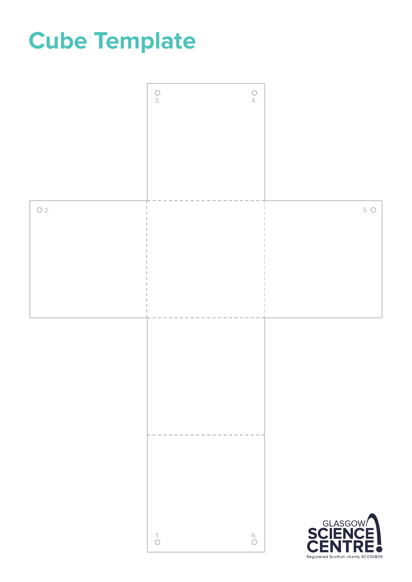## **Cube Template**